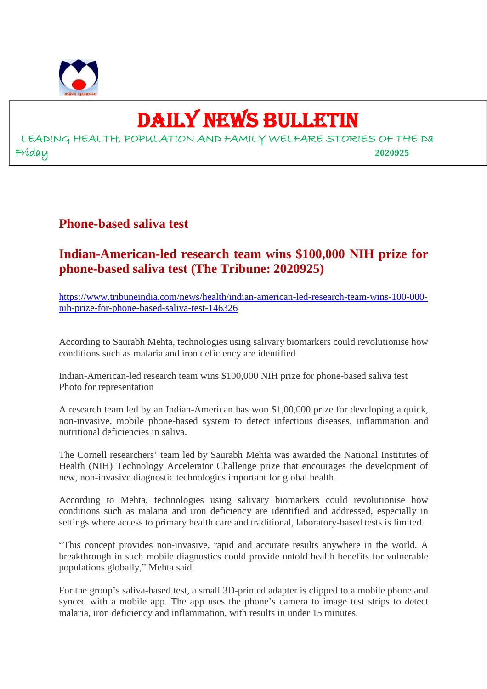

# DAILY NEWS BULLETIN

LEADING HEALTH, POPULATION AND FAMILY WELFARE STORIES OF THE Da Friday **2020925**

#### **Phone-based saliva test**

#### **Indian-American-led research team wins \$100,000 NIH prize for phone-based saliva test (The Tribune: 2020925)**

https://www.tribuneindia.com/news/health/indian-american-led-research-team-wins-100-000 nih-prize-for-phone-based-saliva-test-146326

According to Saurabh Mehta, technologies using salivary biomarkers could revolutionise how conditions such as malaria and iron deficiency are identified

Indian-American-led research team wins \$100,000 NIH prize for phone-based saliva test Photo for representation

A research team led by an Indian-American has won \$1,00,000 prize for developing a quick, non-invasive, mobile phone-based system to detect infectious diseases, inflammation and nutritional deficiencies in saliva.

The Cornell researchers' team led by Saurabh Mehta was awarded the National Institutes of Health (NIH) Technology Accelerator Challenge prize that encourages the development of new, non-invasive diagnostic technologies important for global health.

According to Mehta, technologies using salivary biomarkers could revolutionise how conditions such as malaria and iron deficiency are identified and addressed, especially in settings where access to primary health care and traditional, laboratory-based tests is limited.

"This concept provides non-invasive, rapid and accurate results anywhere in the world. A breakthrough in such mobile diagnostics could provide untold health benefits for vulnerable populations globally," Mehta said.

For the group's saliva-based test, a small 3D-printed adapter is clipped to a mobile phone and synced with a mobile app. The app uses the phone's camera to image test strips to detect malaria, iron deficiency and inflammation, with results in under 15 minutes.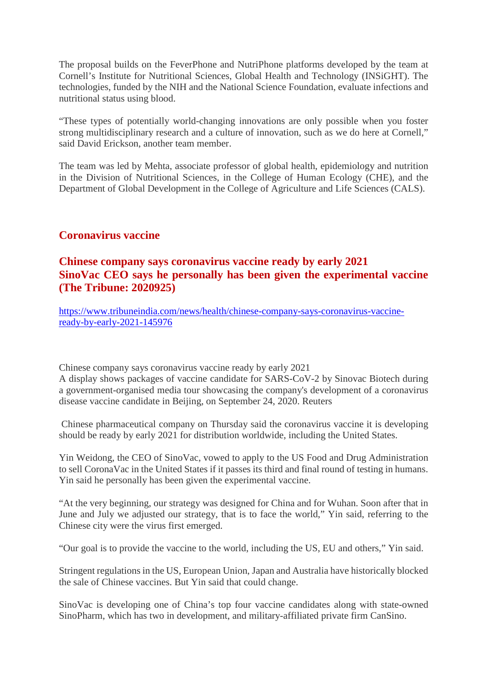The proposal builds on the FeverPhone and NutriPhone platforms developed by the team at Cornell's Institute for Nutritional Sciences, Global Health and Technology (INSiGHT). The technologies, funded by the NIH and the National Science Foundation, evaluate infections and nutritional status using blood.

"These types of potentially world-changing innovations are only possible when you foster strong multidisciplinary research and a culture of innovation, such as we do here at Cornell," said David Erickson, another team member.

The team was led by Mehta, associate professor of global health, epidemiology and nutrition in the Division of Nutritional Sciences, in the College of Human Ecology (CHE), and the Department of Global Development in the College of Agriculture and Life Sciences (CALS).

#### **Coronavirus vaccine**

#### **Chinese company says coronavirus vaccine ready by early 2021 SinoVac CEO says he personally has been given the experimental vaccine (The Tribune: 2020925)**

https://www.tribuneindia.com/news/health/chinese-company-says-coronavirus-vaccineready-by-early-2021-145976

Chinese company says coronavirus vaccine ready by early 2021

A display shows packages of vaccine candidate for SARS-CoV-2 by Sinovac Biotech during a government-organised media tour showcasing the company's development of a coronavirus disease vaccine candidate in Beijing, on September 24, 2020. Reuters

Chinese pharmaceutical company on Thursday said the coronavirus vaccine it is developing should be ready by early 2021 for distribution worldwide, including the United States.

Yin Weidong, the CEO of SinoVac, vowed to apply to the US Food and Drug Administration to sell CoronaVac in the United States if it passes its third and final round of testing in humans. Yin said he personally has been given the experimental vaccine.

"At the very beginning, our strategy was designed for China and for Wuhan. Soon after that in June and July we adjusted our strategy, that is to face the world," Yin said, referring to the Chinese city were the virus first emerged.

"Our goal is to provide the vaccine to the world, including the US, EU and others," Yin said.

Stringent regulations in the US, European Union, Japan and Australia have historically blocked the sale of Chinese vaccines. But Yin said that could change.

SinoVac is developing one of China's top four vaccine candidates along with state-owned SinoPharm, which has two in development, and military-affiliated private firm CanSino.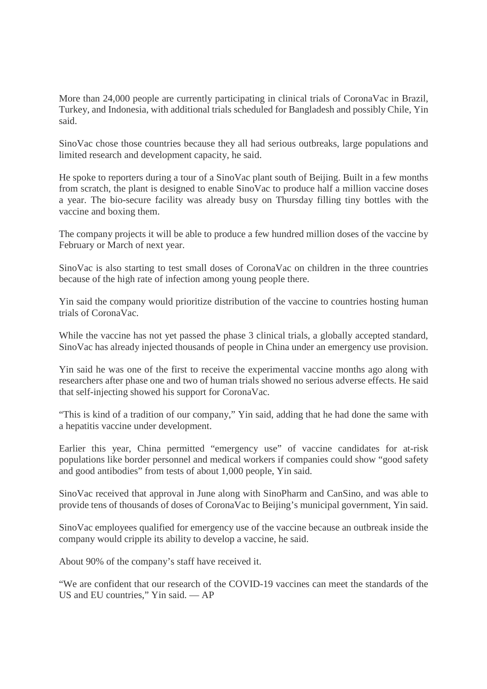More than 24,000 people are currently participating in clinical trials of CoronaVac in Brazil, Turkey, and Indonesia, with additional trials scheduled for Bangladesh and possibly Chile, Yin said.

SinoVac chose those countries because they all had serious outbreaks, large populations and limited research and development capacity, he said.

He spoke to reporters during a tour of a SinoVac plant south of Beijing. Built in a few months from scratch, the plant is designed to enable SinoVac to produce half a million vaccine doses a year. The bio-secure facility was already busy on Thursday filling tiny bottles with the vaccine and boxing them.

The company projects it will be able to produce a few hundred million doses of the vaccine by February or March of next year.

SinoVac is also starting to test small doses of CoronaVac on children in the three countries because of the high rate of infection among young people there.

Yin said the company would prioritize distribution of the vaccine to countries hosting human trials of CoronaVac.

While the vaccine has not yet passed the phase 3 clinical trials, a globally accepted standard, SinoVac has already injected thousands of people in China under an emergency use provision.

Yin said he was one of the first to receive the experimental vaccine months ago along with researchers after phase one and two of human trials showed no serious adverse effects. He said that self-injecting showed his support for CoronaVac.

"This is kind of a tradition of our company," Yin said, adding that he had done the same with a hepatitis vaccine under development.

Earlier this year, China permitted "emergency use" of vaccine candidates for at-risk populations like border personnel and medical workers if companies could show "good safety and good antibodies" from tests of about 1,000 people, Yin said.

SinoVac received that approval in June along with SinoPharm and CanSino, and was able to provide tens of thousands of doses of CoronaVac to Beijing's municipal government, Yin said.

SinoVac employees qualified for emergency use of the vaccine because an outbreak inside the company would cripple its ability to develop a vaccine, he said.

About 90% of the company's staff have received it.

"We are confident that our research of the COVID-19 vaccines can meet the standards of the US and EU countries," Yin said. — AP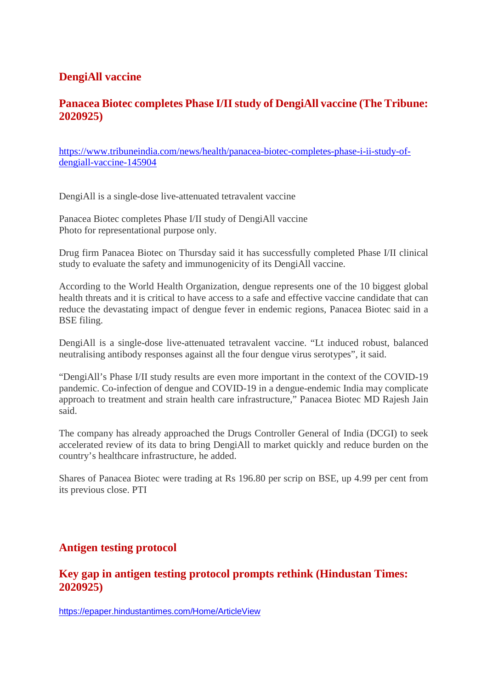#### **DengiAll vaccine**

#### **Panacea Biotec completes Phase I/II study of DengiAll vaccine (The Tribune: 2020925)**

https://www.tribuneindia.com/news/health/panacea-biotec-completes-phase-i-ii-study-ofdengiall-vaccine-145904

DengiAll is a single-dose live-attenuated tetravalent vaccine

Panacea Biotec completes Phase I/II study of DengiAll vaccine Photo for representational purpose only.

Drug firm Panacea Biotec on Thursday said it has successfully completed Phase I/II clinical study to evaluate the safety and immunogenicity of its DengiAll vaccine.

According to the World Health Organization, dengue represents one of the 10 biggest global health threats and it is critical to have access to a safe and effective vaccine candidate that can reduce the devastating impact of dengue fever in endemic regions, Panacea Biotec said in a BSE filing.

DengiAll is a single-dose live-attenuated tetravalent vaccine. "Lt induced robust, balanced neutralising antibody responses against all the four dengue virus serotypes", it said.

"DengiAll's Phase I/II study results are even more important in the context of the COVID-19 pandemic. Co-infection of dengue and COVID-19 in a dengue-endemic India may complicate approach to treatment and strain health care infrastructure," Panacea Biotec MD Rajesh Jain said.

The company has already approached the Drugs Controller General of India (DCGI) to seek accelerated review of its data to bring DengiAll to market quickly and reduce burden on the country's healthcare infrastructure, he added.

Shares of Panacea Biotec were trading at Rs 196.80 per scrip on BSE, up 4.99 per cent from its previous close. PTI

#### **Antigen testing protocol**

#### **Key gap in antigen testing protocol prompts rethink (Hindustan Times: 2020925)**

https://epaper.hindustantimes.com/Home/ArticleView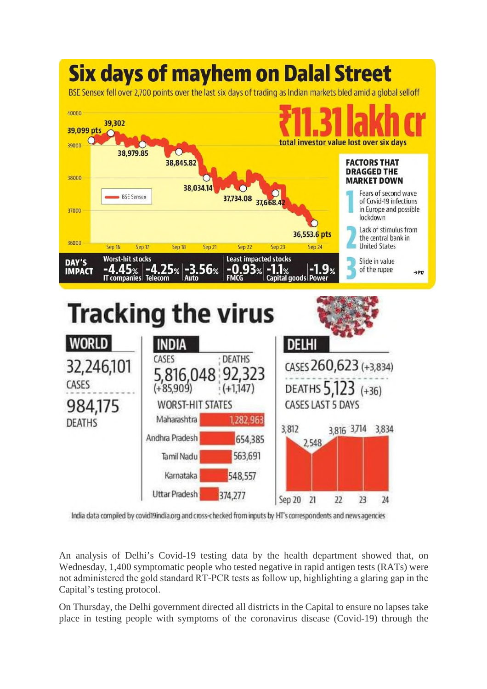

India data compiled by covid19india.org and cross-checked from inputs by HT's correspondents and news agencies

An analysis of Delhi's Covid-19 testing data by the health department showed that, on Wednesday, 1,400 symptomatic people who tested negative in rapid antigen tests (RATs) were not administered the gold standard RT-PCR tests as follow up, highlighting a glaring gap in the Capital's testing protocol.

On Thursday, the Delhi government directed all districts in the Capital to ensure no lapses take place in testing people with symptoms of the coronavirus disease (Covid-19) through the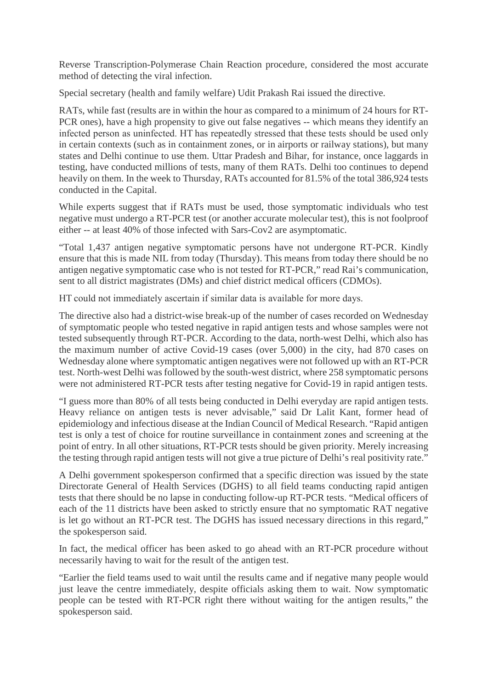Reverse Transcription-Polymerase Chain Reaction procedure, considered the most accurate method of detecting the viral infection.

Special secretary (health and family welfare) Udit Prakash Rai issued the directive.

RATs, while fast (results are in within the hour as compared to a minimum of 24 hours for RT-PCR ones), have a high propensity to give out false negatives -- which means they identify an infected person as uninfected. HT has repeatedly stressed that these tests should be used only in certain contexts (such as in containment zones, or in airports or railway stations), but many states and Delhi continue to use them. Uttar Pradesh and Bihar, for instance, once laggards in testing, have conducted millions of tests, many of them RATs. Delhi too continues to depend heavily on them. In the week to Thursday, RATs accounted for 81.5% of the total 386,924 tests conducted in the Capital.

While experts suggest that if RATs must be used, those symptomatic individuals who test negative must undergo a RT-PCR test (or another accurate molecular test), this is not foolproof either -- at least 40% of those infected with Sars-Cov2 are asymptomatic.

"Total 1,437 antigen negative symptomatic persons have not undergone RT-PCR. Kindly ensure that this is made NIL from today (Thursday). This means from today there should be no antigen negative symptomatic case who is not tested for RT-PCR," read Rai's communication, sent to all district magistrates (DMs) and chief district medical officers (CDMOs).

HT could not immediately ascertain if similar data is available for more days.

The directive also had a district-wise break-up of the number of cases recorded on Wednesday of symptomatic people who tested negative in rapid antigen tests and whose samples were not tested subsequently through RT-PCR. According to the data, north-west Delhi, which also has the maximum number of active Covid-19 cases (over 5,000) in the city, had 870 cases on Wednesday alone where symptomatic antigen negatives were not followed up with an RT-PCR test. North-west Delhi was followed by the south-west district, where 258 symptomatic persons were not administered RT-PCR tests after testing negative for Covid-19 in rapid antigen tests.

"I guess more than 80% of all tests being conducted in Delhi everyday are rapid antigen tests. Heavy reliance on antigen tests is never advisable," said Dr Lalit Kant, former head of epidemiology and infectious disease at the Indian Council of Medical Research. "Rapid antigen test is only a test of choice for routine surveillance in containment zones and screening at the point of entry. In all other situations, RT-PCR tests should be given priority. Merely increasing the testing through rapid antigen tests will not give a true picture of Delhi's real positivity rate."

A Delhi government spokesperson confirmed that a specific direction was issued by the state Directorate General of Health Services (DGHS) to all field teams conducting rapid antigen tests that there should be no lapse in conducting follow-up RT-PCR tests. "Medical officers of each of the 11 districts have been asked to strictly ensure that no symptomatic RAT negative is let go without an RT-PCR test. The DGHS has issued necessary directions in this regard," the spokesperson said.

In fact, the medical officer has been asked to go ahead with an RT-PCR procedure without necessarily having to wait for the result of the antigen test.

"Earlier the field teams used to wait until the results came and if negative many people would just leave the centre immediately, despite officials asking them to wait. Now symptomatic people can be tested with RT-PCR right there without waiting for the antigen results," the spokesperson said.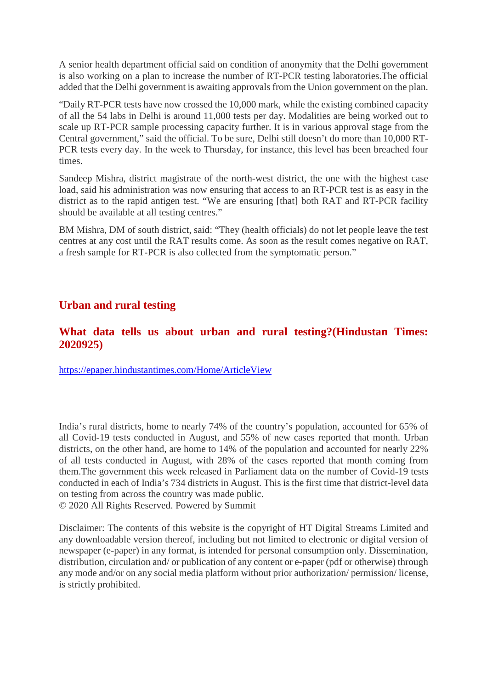A senior health department official said on condition of anonymity that the Delhi government is also working on a plan to increase the number of RT-PCR testing laboratories.The official added that the Delhi government is awaiting approvals from the Union government on the plan.

"Daily RT-PCR tests have now crossed the 10,000 mark, while the existing combined capacity of all the 54 labs in Delhi is around 11,000 tests per day. Modalities are being worked out to scale up RT-PCR sample processing capacity further. It is in various approval stage from the Central government," said the official. To be sure, Delhi still doesn't do more than 10,000 RT-PCR tests every day. In the week to Thursday, for instance, this level has been breached four times.

Sandeep Mishra, district magistrate of the north-west district, the one with the highest case load, said his administration was now ensuring that access to an RT-PCR test is as easy in the district as to the rapid antigen test. "We are ensuring [that] both RAT and RT-PCR facility should be available at all testing centres."

BM Mishra, DM of south district, said: "They (health officials) do not let people leave the test centres at any cost until the RAT results come. As soon as the result comes negative on RAT, a fresh sample for RT-PCR is also collected from the symptomatic person."

#### **Urban and rural testing**

#### **What data tells us about urban and rural testing?(Hindustan Times: 2020925)**

https://epaper.hindustantimes.com/Home/ArticleView

India's rural districts, home to nearly 74% of the country's population, accounted for 65% of all Covid-19 tests conducted in August, and 55% of new cases reported that month. Urban districts, on the other hand, are home to 14% of the population and accounted for nearly 22% of all tests conducted in August, with 28% of the cases reported that month coming from them.The government this week released in Parliament data on the number of Covid-19 tests conducted in each of India's 734 districts in August. This is the first time that district-level data on testing from across the country was made public. © 2020 All Rights Reserved. Powered by Summit

Disclaimer: The contents of this website is the copyright of HT Digital Streams Limited and any downloadable version thereof, including but not limited to electronic or digital version of newspaper (e-paper) in any format, is intended for personal consumption only. Dissemination, distribution, circulation and/ or publication of any content or e-paper (pdf or otherwise) through any mode and/or on any social media platform without prior authorization/ permission/ license, is strictly prohibited.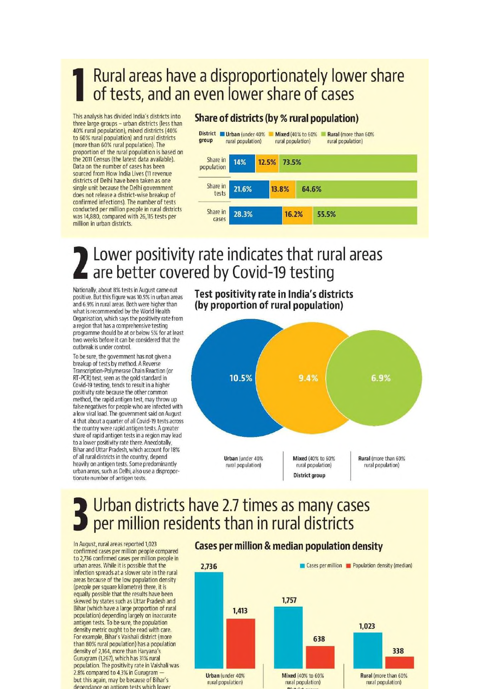## Rural areas have a disproportionately lower share of tests, and an even lower share of cases

This analysis has divided India's districts into three large groups - urban districts (less than 40% rural population), mixed districts (40% to 60% rural population) and rural districts (more than 60% rural population). The proportion of the rural population is based on the 2011 Census (the latest data available). Data on the number of cases has been sourced from How India Lives (11 revenue districts of Delhi have been taken as one single unit because the Delhi government does not release a district-wise breakup of confirmed infections). The number of tests conducted per million people in rural districts was 14,880, compared with 26,115 tests per million in urban districts.

#### Share of districts (by % rural population)



### Lower positivity rate indicates that rural areas are better covered by Covid-19 testing

Nationally, about 8% tests in August came out positive. But this figure was 10.5% in urban areas and 6.9% in rural areas. Both were higher than what is recommended by the World Health Organisation, which says the positivity rate from a region that has a comprehensive testing programme should be at or below 5% for at least two weeks before it can be considered that the outbreak is under control.

To be sure, the government has not given a breakup of tests by method. A Reverse Transcription-Polymerase Chain Reaction (or RT-PCR) test, seen as the gold standard in Covid-19 testing, tends to result in a higher positivity rate because the other common method, the rapid antigen test, may throw up false negatives for people who are infected with a low viral load. The government said on August 4 that about a quarter of all Covid-19 tests across the country were rapid antigen tests. A greater share of rapid antigen tests in a region may lead to a lower positivity rate there. Anecdotally, Bihar and Uttar Pradesh, which account for 18% of all rural districts in the country, depend heavily on antigen tests. Some predominantly urban areas, such as Delhi, also use a disproportionate number of antigen tests

#### Test positivity rate in India's districts (by proportion of rural population)



# Urban districts have 2.7 times as many cases per million residents than in rural districts

In August, rural areas reported 1,023 confirmed cases per million people compared to 2,736 confirmed cases per million people in urban areas. While it is possible that the infection spreads at a slower rate in the rural areas because of the low population density (people per square kilometre) there, it is equally possible that the results have been skewed by states such as Uttar Pradesh and Bihar (which have a large proportion of rural population) depending largely on inaccurate antigen tests. To be sure, the population density metric ought to be read with care. For example, Bihar's Vaishali district (more than 80% rural population) has a population density of 2,164, more than Haryana's Gurugram (1,267), which has 31% rural population. The positivity rate in Vaishali was 2.8% compared to 4.3% in Gurugram but this again, may be because of Bihar's dependance on antigen tests which lowe

#### **Cases per million & median population density**

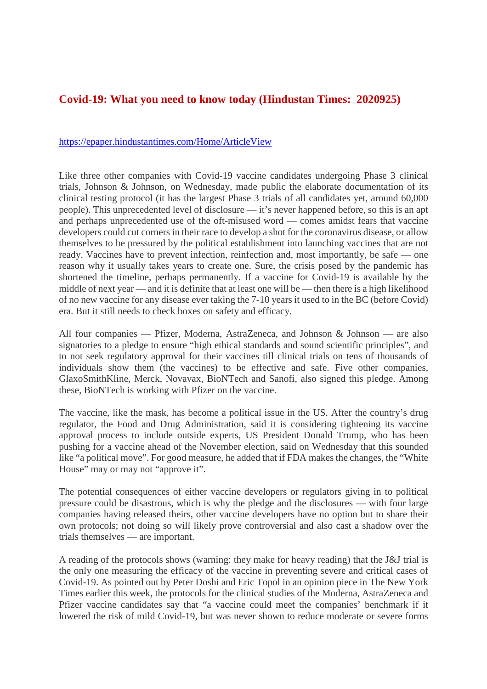#### **Covid-19: What you need to know today (Hindustan Times: 2020925)**

#### https://epaper.hindustantimes.com/Home/ArticleView

Like three other companies with Covid-19 vaccine candidates undergoing Phase 3 clinical trials, Johnson & Johnson, on Wednesday, made public the elaborate documentation of its clinical testing protocol (it has the largest Phase 3 trials of all candidates yet, around 60,000 people). This unprecedented level of disclosure — it's never happened before, so this is an apt and perhaps unprecedented use of the oft-misused word — comes amidst fears that vaccine developers could cut corners in their race to develop a shot for the coronavirus disease, or allow themselves to be pressured by the political establishment into launching vaccines that are not ready. Vaccines have to prevent infection, reinfection and, most importantly, be safe — one reason why it usually takes years to create one. Sure, the crisis posed by the pandemic has shortened the timeline, perhaps permanently. If a vaccine for Covid-19 is available by the middle of next year — and it is definite that at least one will be — then there is a high likelihood of no new vaccine for any disease ever taking the 7-10 years it used to in the BC (before Covid) era. But it still needs to check boxes on safety and efficacy.

All four companies — Pfizer, Moderna, AstraZeneca, and Johnson & Johnson — are also signatories to a pledge to ensure "high ethical standards and sound scientific principles", and to not seek regulatory approval for their vaccines till clinical trials on tens of thousands of individuals show them (the vaccines) to be effective and safe. Five other companies, GlaxoSmithKline, Merck, Novavax, BioNTech and Sanofi, also signed this pledge. Among these, BioNTech is working with Pfizer on the vaccine.

The vaccine, like the mask, has become a political issue in the US. After the country's drug regulator, the Food and Drug Administration, said it is considering tightening its vaccine approval process to include outside experts, US President Donald Trump, who has been pushing for a vaccine ahead of the November election, said on Wednesday that this sounded like "a political move". For good measure, he added that if FDA makes the changes, the "White House" may or may not "approve it".

The potential consequences of either vaccine developers or regulators giving in to political pressure could be disastrous, which is why the pledge and the disclosures — with four large companies having released theirs, other vaccine developers have no option but to share their own protocols; not doing so will likely prove controversial and also cast a shadow over the trials themselves — are important.

A reading of the protocols shows (warning: they make for heavy reading) that the J&J trial is the only one measuring the efficacy of the vaccine in preventing severe and critical cases of Covid-19. As pointed out by Peter Doshi and Eric Topol in an opinion piece in The New York Times earlier this week, the protocols for the clinical studies of the Moderna, AstraZeneca and Pfizer vaccine candidates say that "a vaccine could meet the companies' benchmark if it lowered the risk of mild Covid-19, but was never shown to reduce moderate or severe forms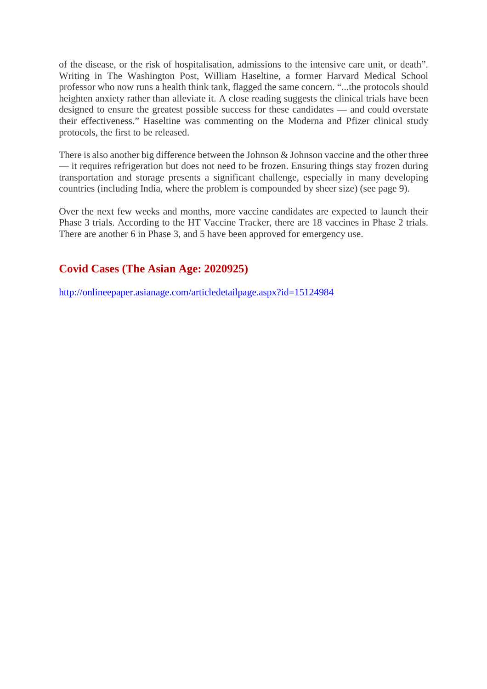of the disease, or the risk of hospitalisation, admissions to the intensive care unit, or death". Writing in The Washington Post, William Haseltine, a former Harvard Medical School professor who now runs a health think tank, flagged the same concern. "...the protocols should heighten anxiety rather than alleviate it. A close reading suggests the clinical trials have been designed to ensure the greatest possible success for these candidates — and could overstate their effectiveness." Haseltine was commenting on the Moderna and Pfizer clinical study protocols, the first to be released.

There is also another big difference between the Johnson & Johnson vaccine and the other three — it requires refrigeration but does not need to be frozen. Ensuring things stay frozen during transportation and storage presents a significant challenge, especially in many developing countries (including India, where the problem is compounded by sheer size) (see page 9).

Over the next few weeks and months, more vaccine candidates are expected to launch their Phase 3 trials. According to the HT Vaccine Tracker, there are 18 vaccines in Phase 2 trials. There are another 6 in Phase 3, and 5 have been approved for emergency use.

#### **Covid Cases (The Asian Age: 2020925)**

http://onlineepaper.asianage.com/articledetailpage.aspx?id=15124984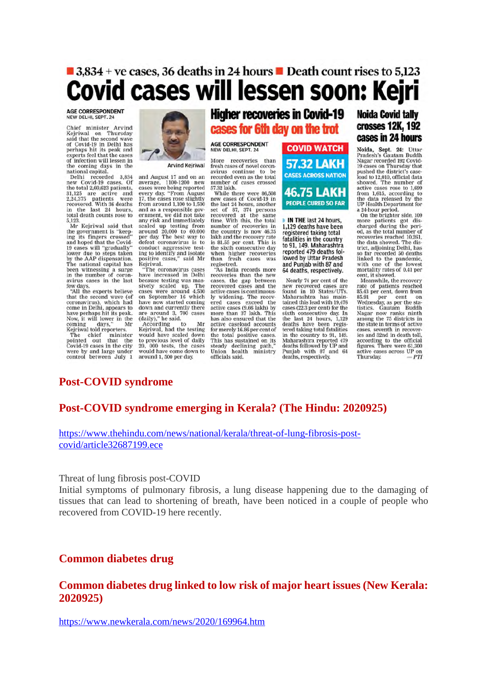# ■ 3.834 + ve cases, 36 deaths in 24 hours ■ Death count rises to 5.123 Covid cases will lessen soon: Kejri

#### AGE CORRESPONDENT NEW DELHI, SEPT. 24

Chief minister Arvind<br>Kejriwal on Thursday<br>said that the second wave of Covid-19 in Delhi has<br>perhaps hit its peak and<br>experts feel that the cases of infection will lessen in<br>the coming days in the

national capital.<br>
Delhi recorded 3,834<br>
new Covid-19 cases. Of new Covid-19 cases. Or<br>the total 2,60,623 patients,<br>31,125 are active and<br>2,24,375 patients were<br>recovered. With 36 deaths<br>in the last 24 hours, total death counts rose to 5,123

Mr Kejriwal said that the government is "keeping its fingers crossed"<br>and hoped that the Covidand hoped that the Covid-<br>19 cases will "gradually"<br>Lower due to steps taken<br>by the AAP dispensation.<br>The national capital has<br>been witnessing a surge<br>in the number of coron-<br>avirus cases in the last<br>faw days few days.

"All the experts believe that the second wave (of that the second wave (of<br>coronavirus), which had<br>come in Delhi, appears to<br>Now, it will lower in the<br>Now, it will lower in the<br>coming days," Mr<br>Kejriwal told reporters.<br>The chief minister<br>pointed out that the<br>Covid-19 case

were by and large under<br>control between July 1



**Arvind Kejriwal** 

and August 17 and on an<br>average, 1100-1200 new average, 1100-1200 new<br>cases were being reported<br>every day. "From August<br>17, the cases rose slightly from around 1,100 to 1,500<br>and as a responsible government, we did not take any risk and immediately scaled up testing from<br>around 20,000 to 60,000<br>per day. The best way to<br>defeat coronavirus is to conduct aggressive testing to identify and isolate positive cases." said Mr Kejriwal.

"The coronavirus cases<br>have increased in Delhi because testing was massively scaled up. The<br>cases were around 4,500<br>on September 16 which have now started coming have now started coming<br>down and currently there<br>are around 3, 700 cases<br>(daily)," he said.<br>According to Mr<br>Kejriwal, had the testing

would have scaled down<br>to previous level of daily 20, 000 tests, the cases would have come down to<br>around 1, 500 per day.

#### **Higher recoveries in Covid-19** cases for 6th day on the trot

#### **AGE CORRESPONDENT** NEW DELHI, SEPT. 24

More recoveries than fresh cases of novel coronavirus continue to be<br>recorded even as the total<br>number of cases crossed 57.32 lakh

57.32 lakh.<br>
While there were 86,508<br>
while there were 86,508<br>
new cases of Covid-19 in<br>
the last 24 hours, another<br>
set of 87, 374 persons<br>
recovered at the same<br>
number of recovery rate in<br>
the country is now 46.75<br>
lak is 81.55 per cent. This is<br>the sixth consecutive day<br>when higher recoveries than fresh cases was regisetred.<br>"As India records more

recoveries than the new<br>cases, the gap between<br>recovered cases and the active cases is continuous-<br>ly widening. The recov-<br>ered cases exceed the active cases (9.66 lakh) by<br>more than 37 lakh. This has also ensured that the<br>active caseload accounts for merely 16.86 per cent of for merely to boy ber cent or<br>the total positive cases.<br>This has sustained on its<br>steady declining path,"<br>Union health ministry<br>officials said.

#### **COVID WATCH**

57.32 LAKH **CASES ACROSS NATION** 46.75 LAKH

**PEOPLE CURED SO FAR** 

IN THE last 24 hours, 1,129 deaths have been<br>registered taking total fatalities in the country to 91, 149. Maharashtra<br>reported 479 deaths followed by Uttar Pradesh and Punjab with 87 and 64 deaths, respectively.

Nearly 74 per cent of the new recovered cases are found in 10 States/UTs.<br>Maharashtra has maintained this lead with 19.476 cases (22.3 per cent) for the<br>sixth consecutive day. In sixth consecutive uay. in<br>the last 24 hours, 1,129<br>deaths have been regis-<br>tered taking total fatalities in the country to 91, 149.<br>Maharashtra reported 479<br>deaths followed by UP and Punjab with 87 and 64<br>deaths, respectively.

#### **Noida Covid tally** crosses 12K, 192 cases in 24 hours

Noida, Sept. 24: Uttar<br>Pradesh's Gautam Buddh Nagar recorded 192 Covid-<br>19 cases on Thursday that pushed the district's case-<br>load to 12,010, official data showed. The number of showed. The number of<br>active cases rose to 1,699<br>from 1,615, according to<br>the data released by the<br>UP Health Departmet for<br>a 24-hour period.<br>On the brighter side, 109<br>more patients got discharged during the period.

od, as the total number of<br>recoveries reached 10,261, the data showed. The district, adjoining Delhi, has<br>so far recorded 50 deaths linked to the pandemic,<br>with one of the lowest<br>mortality rates of 0.41 per

cent, it showed.<br>Meanwhile, the recovery rate of patients reached<br>85.43 per cent, down from<br>85.91 per cent on 85.91 per cent com<br>Wednesday, as per the statistics. Gautam Buddh<br>Nagar now ranks ninth<br>among the 75 districts in the state in terms of active cases, seventh in recover-<br>ies and 32nd in death toll,<br>according to the official<br>figures. There were 61,300  $\frac{1}{2}$  active cases across UP on<br>Thursday  $-PTI$ 

#### **Post-COVID syndrome**

#### Post-COVID syndrome emerging in Kerala? (The Hindu: 2020925)

https://www.thehindu.com/news/national/kerala/threat-of-lung-fibrosis-postcovid/article32687199.ece

Threat of lung fibrosis post-COVID

Initial symptoms of pulmonary fibrosis, a lung disease happening due to the damaging of tissues that can lead to shortening of breath, have been noticed in a couple of people who recovered from COVID-19 here recently.

#### **Common diabetes drug**

#### Common diabetes drug linked to low risk of major heart issues (New Kerala: 2020925)

https://www.newkerala.com/news/2020/169964.htm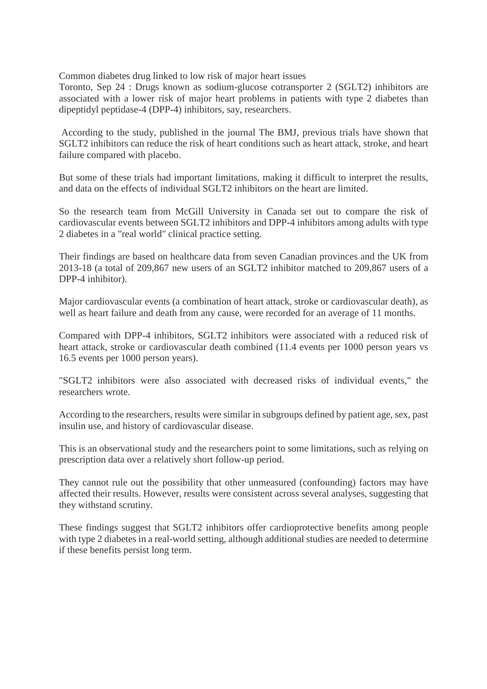Common diabetes drug linked to low risk of major heart issues

Toronto, Sep 24 : Drugs known as sodium-glucose cotransporter 2 (SGLT2) inhibitors are associated with a lower risk of major heart problems in patients with type 2 diabetes than dipeptidyl peptidase-4 (DPP-4) inhibitors, say, researchers.

According to the study, published in the journal The BMJ, previous trials have shown that SGLT2 inhibitors can reduce the risk of heart conditions such as heart attack, stroke, and heart failure compared with placebo.

But some of these trials had important limitations, making it difficult to interpret the results, and data on the effects of individual SGLT2 inhibitors on the heart are limited.

So the research team from McGill University in Canada set out to compare the risk of cardiovascular events between SGLT2 inhibitors and DPP-4 inhibitors among adults with type 2 diabetes in a "real world" clinical practice setting.

Their findings are based on healthcare data from seven Canadian provinces and the UK from 2013-18 (a total of 209,867 new users of an SGLT2 inhibitor matched to 209,867 users of a DPP-4 inhibitor).

Major cardiovascular events (a combination of heart attack, stroke or cardiovascular death), as well as heart failure and death from any cause, were recorded for an average of 11 months.

Compared with DPP-4 inhibitors, SGLT2 inhibitors were associated with a reduced risk of heart attack, stroke or cardiovascular death combined (11.4 events per 1000 person years vs 16.5 events per 1000 person years).

"SGLT2 inhibitors were also associated with decreased risks of individual events," the researchers wrote.

According to the researchers, results were similar in subgroups defined by patient age, sex, past insulin use, and history of cardiovascular disease.

This is an observational study and the researchers point to some limitations, such as relying on prescription data over a relatively short follow-up period.

They cannot rule out the possibility that other unmeasured (confounding) factors may have affected their results. However, results were consistent across several analyses, suggesting that they withstand scrutiny.

These findings suggest that SGLT2 inhibitors offer cardioprotective benefits among people with type 2 diabetes in a real-world setting, although additional studies are needed to determine if these benefits persist long term.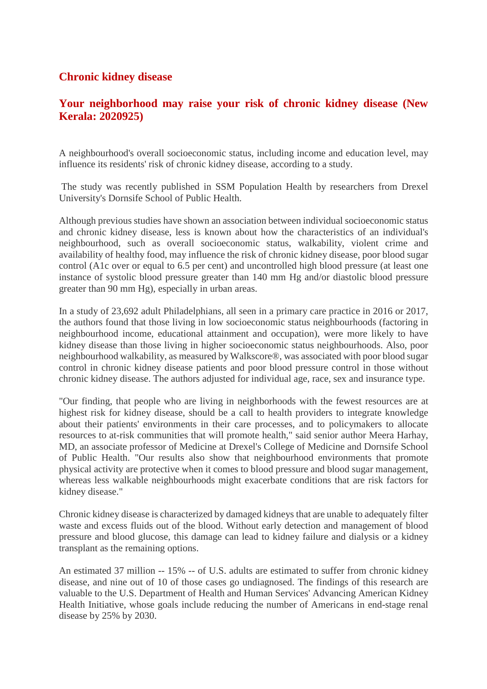#### **Chronic kidney disease**

#### **Your neighborhood may raise your risk of chronic kidney disease (New Kerala: 2020925)**

A neighbourhood's overall socioeconomic status, including income and education level, may influence its residents' risk of chronic kidney disease, according to a study.

The study was recently published in SSM Population Health by researchers from Drexel University's Dornsife School of Public Health.

Although previous studies have shown an association between individual socioeconomic status and chronic kidney disease, less is known about how the characteristics of an individual's neighbourhood, such as overall socioeconomic status, walkability, violent crime and availability of healthy food, may influence the risk of chronic kidney disease, poor blood sugar control (A1c over or equal to 6.5 per cent) and uncontrolled high blood pressure (at least one instance of systolic blood pressure greater than 140 mm Hg and/or diastolic blood pressure greater than 90 mm Hg), especially in urban areas.

In a study of 23,692 adult Philadelphians, all seen in a primary care practice in 2016 or 2017, the authors found that those living in low socioeconomic status neighbourhoods (factoring in neighbourhood income, educational attainment and occupation), were more likely to have kidney disease than those living in higher socioeconomic status neighbourhoods. Also, poor neighbourhood walkability, as measured by Walkscore®, was associated with poor blood sugar control in chronic kidney disease patients and poor blood pressure control in those without chronic kidney disease. The authors adjusted for individual age, race, sex and insurance type.

"Our finding, that people who are living in neighborhoods with the fewest resources are at highest risk for kidney disease, should be a call to health providers to integrate knowledge about their patients' environments in their care processes, and to policymakers to allocate resources to at-risk communities that will promote health," said senior author Meera Harhay, MD, an associate professor of Medicine at Drexel's College of Medicine and Dornsife School of Public Health. "Our results also show that neighbourhood environments that promote physical activity are protective when it comes to blood pressure and blood sugar management, whereas less walkable neighbourhoods might exacerbate conditions that are risk factors for kidney disease."

Chronic kidney disease is characterized by damaged kidneys that are unable to adequately filter waste and excess fluids out of the blood. Without early detection and management of blood pressure and blood glucose, this damage can lead to kidney failure and dialysis or a kidney transplant as the remaining options.

An estimated 37 million -- 15% -- of U.S. adults are estimated to suffer from chronic kidney disease, and nine out of 10 of those cases go undiagnosed. The findings of this research are valuable to the U.S. Department of Health and Human Services' Advancing American Kidney Health Initiative, whose goals include reducing the number of Americans in end-stage renal disease by 25% by 2030.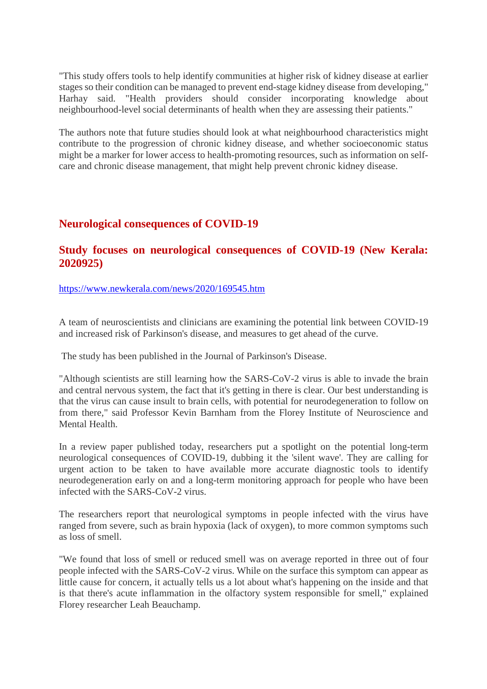"This study offers tools to help identify communities at higher risk of kidney disease at earlier stages so their condition can be managed to prevent end-stage kidney disease from developing," Harhay said. "Health providers should consider incorporating knowledge about neighbourhood-level social determinants of health when they are assessing their patients."

The authors note that future studies should look at what neighbourhood characteristics might contribute to the progression of chronic kidney disease, and whether socioeconomic status might be a marker for lower access to health-promoting resources, such as information on selfcare and chronic disease management, that might help prevent chronic kidney disease.

#### **Neurological consequences of COVID-19**

#### **Study focuses on neurological consequences of COVID-19 (New Kerala: 2020925)**

https://www.newkerala.com/news/2020/169545.htm

A team of neuroscientists and clinicians are examining the potential link between COVID-19 and increased risk of Parkinson's disease, and measures to get ahead of the curve.

The study has been published in the Journal of Parkinson's Disease.

"Although scientists are still learning how the SARS-CoV-2 virus is able to invade the brain and central nervous system, the fact that it's getting in there is clear. Our best understanding is that the virus can cause insult to brain cells, with potential for neurodegeneration to follow on from there," said Professor Kevin Barnham from the Florey Institute of Neuroscience and Mental Health.

In a review paper published today, researchers put a spotlight on the potential long-term neurological consequences of COVID-19, dubbing it the 'silent wave'. They are calling for urgent action to be taken to have available more accurate diagnostic tools to identify neurodegeneration early on and a long-term monitoring approach for people who have been infected with the SARS-CoV-2 virus.

The researchers report that neurological symptoms in people infected with the virus have ranged from severe, such as brain hypoxia (lack of oxygen), to more common symptoms such as loss of smell.

"We found that loss of smell or reduced smell was on average reported in three out of four people infected with the SARS-CoV-2 virus. While on the surface this symptom can appear as little cause for concern, it actually tells us a lot about what's happening on the inside and that is that there's acute inflammation in the olfactory system responsible for smell," explained Florey researcher Leah Beauchamp.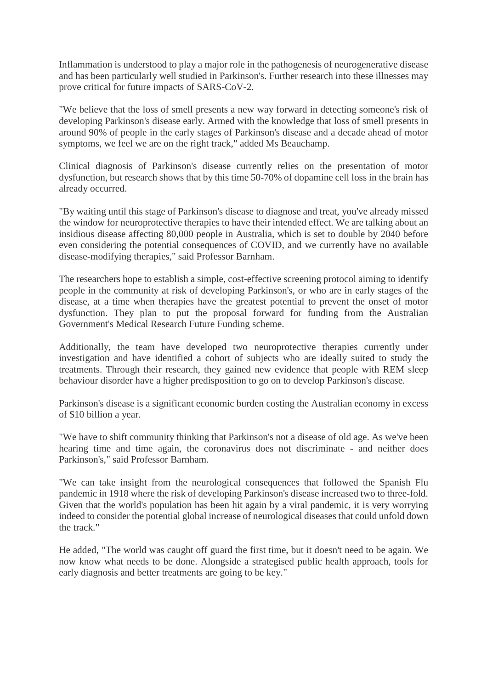Inflammation is understood to play a major role in the pathogenesis of neurogenerative disease and has been particularly well studied in Parkinson's. Further research into these illnesses may prove critical for future impacts of SARS-CoV-2.

"We believe that the loss of smell presents a new way forward in detecting someone's risk of developing Parkinson's disease early. Armed with the knowledge that loss of smell presents in around 90% of people in the early stages of Parkinson's disease and a decade ahead of motor symptoms, we feel we are on the right track," added Ms Beauchamp.

Clinical diagnosis of Parkinson's disease currently relies on the presentation of motor dysfunction, but research shows that by this time 50-70% of dopamine cell loss in the brain has already occurred.

"By waiting until this stage of Parkinson's disease to diagnose and treat, you've already missed the window for neuroprotective therapies to have their intended effect. We are talking about an insidious disease affecting 80,000 people in Australia, which is set to double by 2040 before even considering the potential consequences of COVID, and we currently have no available disease-modifying therapies," said Professor Barnham.

The researchers hope to establish a simple, cost-effective screening protocol aiming to identify people in the community at risk of developing Parkinson's, or who are in early stages of the disease, at a time when therapies have the greatest potential to prevent the onset of motor dysfunction. They plan to put the proposal forward for funding from the Australian Government's Medical Research Future Funding scheme.

Additionally, the team have developed two neuroprotective therapies currently under investigation and have identified a cohort of subjects who are ideally suited to study the treatments. Through their research, they gained new evidence that people with REM sleep behaviour disorder have a higher predisposition to go on to develop Parkinson's disease.

Parkinson's disease is a significant economic burden costing the Australian economy in excess of \$10 billion a year.

"We have to shift community thinking that Parkinson's not a disease of old age. As we've been hearing time and time again, the coronavirus does not discriminate - and neither does Parkinson's," said Professor Barnham.

"We can take insight from the neurological consequences that followed the Spanish Flu pandemic in 1918 where the risk of developing Parkinson's disease increased two to three-fold. Given that the world's population has been hit again by a viral pandemic, it is very worrying indeed to consider the potential global increase of neurological diseases that could unfold down the track."

He added, "The world was caught off guard the first time, but it doesn't need to be again. We now know what needs to be done. Alongside a strategised public health approach, tools for early diagnosis and better treatments are going to be key."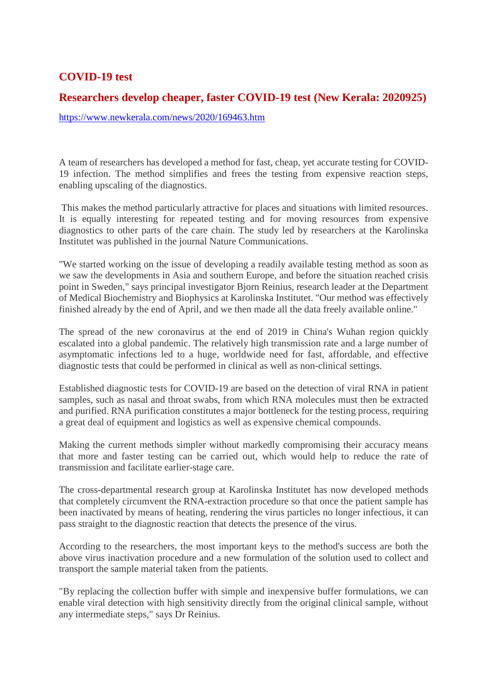#### **COVID-19 test**

#### **Researchers develop cheaper, faster COVID-19 test (New Kerala: 2020925)**

https://www.newkerala.com/news/2020/169463.htm

A team of researchers has developed a method for fast, cheap, yet accurate testing for COVID-19 infection. The method simplifies and frees the testing from expensive reaction steps, enabling upscaling of the diagnostics.

This makes the method particularly attractive for places and situations with limited resources. It is equally interesting for repeated testing and for moving resources from expensive diagnostics to other parts of the care chain. The study led by researchers at the Karolinska Institutet was published in the journal Nature Communications.

"We started working on the issue of developing a readily available testing method as soon as we saw the developments in Asia and southern Europe, and before the situation reached crisis point in Sweden," says principal investigator Bjorn Reinius, research leader at the Department of Medical Biochemistry and Biophysics at Karolinska Institutet. "Our method was effectively finished already by the end of April, and we then made all the data freely available online."

The spread of the new coronavirus at the end of 2019 in China's Wuhan region quickly escalated into a global pandemic. The relatively high transmission rate and a large number of asymptomatic infections led to a huge, worldwide need for fast, affordable, and effective diagnostic tests that could be performed in clinical as well as non-clinical settings.

Established diagnostic tests for COVID-19 are based on the detection of viral RNA in patient samples, such as nasal and throat swabs, from which RNA molecules must then be extracted and purified. RNA purification constitutes a major bottleneck for the testing process, requiring a great deal of equipment and logistics as well as expensive chemical compounds.

Making the current methods simpler without markedly compromising their accuracy means that more and faster testing can be carried out, which would help to reduce the rate of transmission and facilitate earlier-stage care.

The cross-departmental research group at Karolinska Institutet has now developed methods that completely circumvent the RNA-extraction procedure so that once the patient sample has been inactivated by means of heating, rendering the virus particles no longer infectious, it can pass straight to the diagnostic reaction that detects the presence of the virus.

According to the researchers, the most important keys to the method's success are both the above virus inactivation procedure and a new formulation of the solution used to collect and transport the sample material taken from the patients.

"By replacing the collection buffer with simple and inexpensive buffer formulations, we can enable viral detection with high sensitivity directly from the original clinical sample, without any intermediate steps," says Dr Reinius.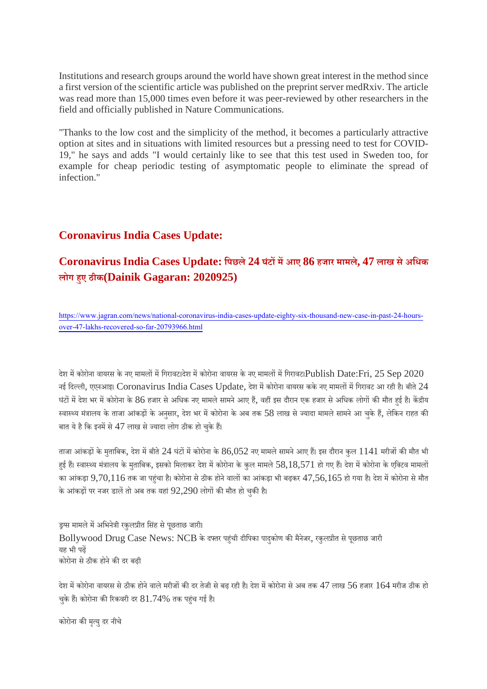Institutions and research groups around the world have shown great interest in the method since a first version of the scientific article was published on the preprint server medRxiv. The article was read more than 15,000 times even before it was peer-reviewed by other researchers in the field and officially published in Nature Communications.

"Thanks to the low cost and the simplicity of the method, it becomes a particularly attractive option at sites and in situations with limited resources but a pressing need to test for COVID-19," he says and adds "I would certainly like to see that this test used in Sweden too, for example for cheap periodic testing of asymptomatic people to eliminate the spread of infection."

#### **Coronavirus India Cases Update:**

#### **Coronavirus India Cases Update: िपछले24 घंटमआए 86 हजार मामले, 47 लाख सेअिधक लोग हए ठीक(Dainik Gagaran: 2020925)**

https://www.jagran.com/news/national-coronavirus-india-cases-update-eighty-six-thousand-new-case-in-past-24-hoursover-47-lakhs-recovered-so-far-20793966.html

देश में कोरोना वायरस के नए मामलों में गिरावट।देश में कोरोना वायरस के नए मामलों में गिरावट।Publish Date:Fri, 25 Sep 2020 नई दिल्ली, एएनआइ। Coronavirus India Cases Update, देश में कोरोना वायरस कके नए मामलों में गिरावट आ रही है। बीते 24 घंटों में देश भर में कोरोना के 86 हजार से अधिक नए मामले सामने आए हैं, वहीं इस दौरान एक हजार से अधिक लोगों की मौत हई है। केंद्रीय स्वास्थ्य मंत्रालय के ताजा आंकड़ों के अनुसार, देश भर में कोरोना के अब तक 58 लाख से ज्यादा मामले सामने आ चुके हैं, लेकिन राहत की बात ये है कि इनमें से  $47$  लाख से ज्यादा लोग ठीक हो चुके हैं।

ताजा आंकड़ों के मुताबिक, देश में बीते 24 घंटों में कोरोना के  $86,052$  नए मामले सामने आए हैं। इस दौरान कुल  $1141$  मरीजों की मौत भी हई हैं। स्वास्थ्य मंत्रालय के मुताबिक, इसको मिलाकर देश में कोरोना के कुल मामले  $58,18,571$  हो गए हैं। देश में कोरोना के एक्टिव मामलों का आंकड़ा  $9,70,116$  तक जा पहुंचा है। कोरोना से ठीक होने वालों का आंकड़ा भी बढ़कर  $47,56,165$  हो गया है। देश में कोरोना से मौत के आंकड़ों पर नजर डालें तो अब तक यहां  $92,290$  लोगों की मौत हो चकी है।

इग्स मामले में अभिनेत्री रकुलप्रीत सिंह से पछताछ जारी। Bollywood Drug Case News: NCB के दफ्तर पहुंची दीपिका पादकोण की मैनेजर, रकुलप्रीत से पूछताछ जारी यह भी पढ़ कोरोना सेठीक होनेकदर बढ़ी

देश में कोरोना वायरस से ठीक होने वाले मरीजों की दर तेजी से बढ़ रही है। देश में कोरोना से अब तक  $47$  लाख  $56$  हजार  $164$  मरीज ठीक हो चुके हैं। कोरोना की रिकवरी दर  $81.74\%$  तक पहंच गई है।

कोरोना की मृत्यु दर नीचे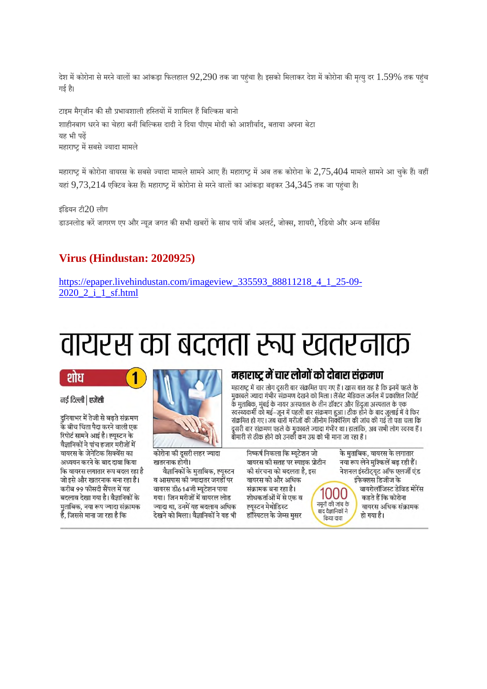देश में कोरोना से मरने वालों का आंकड़ा फिलहाल  $92,290$  तक जा पहंचा है। इसको मिलाकर देश में कोरोना की मृत्यु दर  $1.59\%$  तक पहंच गई ह।ै

टाइम मैगजीन की सौ प्रभावशाली हस्तियों में शामिल हैं बिल्किस बानो शाहीनबाग धरने का चेहरा बनीं बिल्किस दादी ने दिया पीएम मोदी को आशीर्वाद, बताया अपना बेटा यह भी पढ़ महाराष्ट्र में सबसे ज्यादा मामले

महाराष्ट्र में कोरोना वायरस के सबसे ज्यादा मामले सामने आए हैं। महाराष्ट्र में अब तक कोरोना के  $2,75,404$  मामले सामने आ चुके हैं। वहीं यहां  $9.73.214$  एक्टिव केस हैं। महाराष्ट में कोरोना से मरने वालों का आंकड़ा बढ़कर  $34.345$  तक जा पहुंचा है।

इिंडयन टी20 लीग डाउनलोड करें जागरण एप और न्यूज़ जगत की सभी खबरों के साथ पायें जॉब अलर्ट, जोक्स, शायरी, रेडियो और अन्य सर्विस

#### **Virus (Hindustan: 2020925)**

1

https://epaper.livehindustan.com/imageview\_335593\_88811218\_4\_1\_25-09-  $2020\,2\,$ i 1 sf.html

# वायरस का बदलता रूप खतरनाक

शोध

नई दिल्ली | एजेंसी

दुनियाभर में तेजी से बढ़ते संक्रमण के बीच चिंता पैदा करने वाली एक रिपोर्ट सामने आई है। ह्युस्टन के वैज्ञानिकों ने पांच हजार मरीजों में वायरस के जेनेटिक सिक्वेंस का अध्ययन करने के बाद दावा किया कि वायरस लगातार रूप बदल रहा है जो इसे और खतरनाक बना रहा है। करीब 99 फीसदी सैंपल में यह बदलाव देखा गया है। वैज्ञानिकों के मुताबिक, नया रूप ज्यादा संक्रामक है, जिससे माना जा रहा है कि



कोरोना की दूसरी लहर ज्यादा खतरनाक होगी।

वैज्ञानिकों के मुताबिक, ह्यूस्टन व आसपास की ज्यादातर जगहों पर वायरस डी614जी म्युटेशन पाया गया। जिन मरीजों में वायरल लोड ज्यादा था, उनमें यह बदलाव अधिक देखने को मिला। वैज्ञानिकों ने यह भी

#### महाराष्ट्र में चार लोगों को दोबारा संक्रमण

महाराष्ट्र में चार लोग दूसरी बार संक्रमित पाए गए हैं। खास बात यह है कि इनमें पहले के मुकाबले ज्यादा गंभीर संक्रमण देखने को मिला। लैंसेट मेडिकल जर्नल में प्रकाशित रिपोर्ट के मुताबिक, मुंबई के नायर अस्पताल के तीन डॉक्टर और हिंदुजा अस्पताल के एक स्वस्थ्यकर्मी को मई–जून में पहली बार संक्रमण हुआ। ठीक होने के बाद जुलाई में वे फिर संक्रमित हो गए। जब चारों मरीजों की जीनोम सिक्वेंसिंग की जांच की गई तो पता चला कि दूसरी बार संक्रमण पहले के मुकाबले ज्यादा गंभीर था। हालांकि, अब सभी लोग स्वस्थ हैं। .<br>बीमारी से ठीक होने को उनकी कम उम्र को भी माना जा रहा है ।

निष्कर्ष निकला कि म्युटेशन जो वायरस की सतह पर स्पाइक प्रोटीन की संरचना को बदलता है. इस वायरस को और अधिक संक्रामक बना रहा है। 1000 शोधकर्ताओं में से एक व नमूनों की जांच के ह्युस्टन मेथोडिस्ट बाट तैन्नानिकों ने हॉस्पिटल के जेम्स मुसर किया दावा

के मताबिक. वायरस के लगातार नया रूप लेने मश्किलें बढ रही हैं। .<br>नेशनल इंस्टीटयट ऑफ एलर्जी एंड इंफेक्शस डिजीज के वायरोलॉजिस्ट डेविड मोरेंस

कहते हैं कि कोरोना वायरस अधिक संक्रामक हो गया है।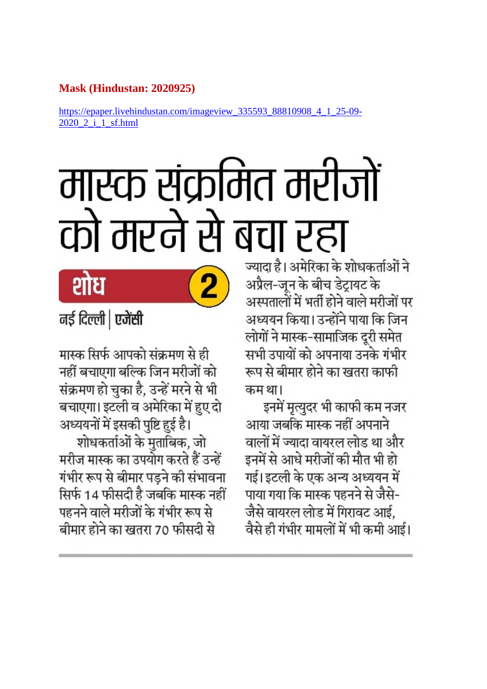#### **Mask (Hindustan: 2020925)**

https://epaper.livehindustan.com/imageview\_335593\_88810908\_4\_1\_25-09- 2020\_2\_i\_1\_sf.html

# मास्क संक्रमित मरीजों को मरने से बचा रहा

ज्यादा है। अमेरिका के शोधकर्ताओं ने अप्रैल-जून के बीच डेट्रायट के अस्पतालों में भर्ती होने वाले मरीजों पर अध्ययन किया। उन्होंने पाया कि जिन लोगों ने मास्क-सामाजिक दूरी समेत सभी उपायों को अपनाया उनके गंभीर रूप से बीमार होने का खतरा काफी कम था।

इनमें मृत्युदर भी काफी कम नजर आया जबकि मास्क नहीं अपनाने वालों में ज्यादा वायरल लोड था और इनमें से आधे मरीजों की मौत भी हो गई। इटली के एक अन्य अध्ययन में पाया गया कि मास्क पहनने से जैसे-जैसे वायरल लोड में गिरावट आई, वैसे ही गंभीर मामलों में भी कमी आई।



शोध नई दिल्ली | एजेंसी

मास्क सिर्फ आपको संक्रमण से ही नहीं बचाएगा बल्कि जिन मरीजों को संक्रमण हो चुका है, उन्हें मरने से भी बचाएगा। इटली व अमेरिका में हुए दो अध्ययनों में इसकी पुष्टि हुई है। शोधकर्ताओं के मुताबिक, जो मरीज मास्क का उपयोग करते हैं उन्हें गंभीर रूप से बीमार पड़ने की संभावना सिर्फ 14 फीसदी है जबकि मास्क नहीं पहनने वाले मरीजों के गंभीर रूप से बीमार होने का खतरा 70 फीसदी से